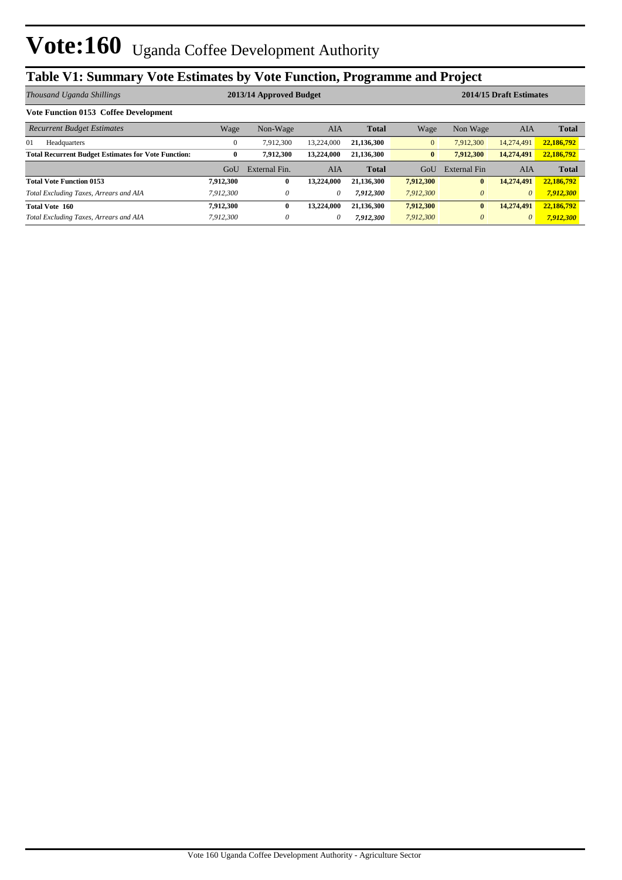## **Table V1: Summary Vote Estimates by Vote Function, Programme and Project**

| Thousand Uganda Shillings                                  | 2013/14 Approved Budget |               |            |              |                | 2014/15 Draft Estimates |            |              |  |
|------------------------------------------------------------|-------------------------|---------------|------------|--------------|----------------|-------------------------|------------|--------------|--|
| <b>Vote Function 0153 Coffee Development</b>               |                         |               |            |              |                |                         |            |              |  |
| <b>Recurrent Budget Estimates</b>                          | Wage                    | Non-Wage      | AIA        | <b>Total</b> | Wage           | Non Wage                | <b>AIA</b> | <b>Total</b> |  |
| 01<br>Headquarters                                         | $\Omega$                | 7.912.300     | 13.224,000 | 21,136,300   | $\overline{0}$ | 7.912.300               | 14,274,491 | 22,186,792   |  |
| <b>Total Recurrent Budget Estimates for Vote Function:</b> | $\bf{0}$                | 7,912,300     | 13.224,000 | 21.136.300   | $\mathbf{0}$   | 7.912.300               | 14,274,491 | 22,186,792   |  |
|                                                            | GoU                     | External Fin. | AIA        | <b>Total</b> | GoU            | <b>External Fin</b>     | AIA        | <b>Total</b> |  |
| <b>Total Vote Function 0153</b>                            | 7.912.300               | $\bf{0}$      | 13,224,000 | 21.136.300   | 7,912,300      | $\bf{0}$                | 14,274,491 | 22,186,792   |  |
| Total Excluding Taxes, Arrears and AIA                     | 7,912,300               | $\theta$      | 0          | 7,912,300    | 7,912,300      | $\theta$                | 0          | 7,912,300    |  |
| Total Vote 160                                             | 7,912,300               | $\mathbf{0}$  | 13.224.000 | 21.136.300   | 7,912,300      | $\mathbf{0}$            | 14,274,491 | 22,186,792   |  |
| Total Excluding Taxes, Arrears and AIA                     | 7,912,300               | $\theta$      | 0          | 7,912,300    | 7,912,300      | $\theta$                | $\theta$   | 7,912,300    |  |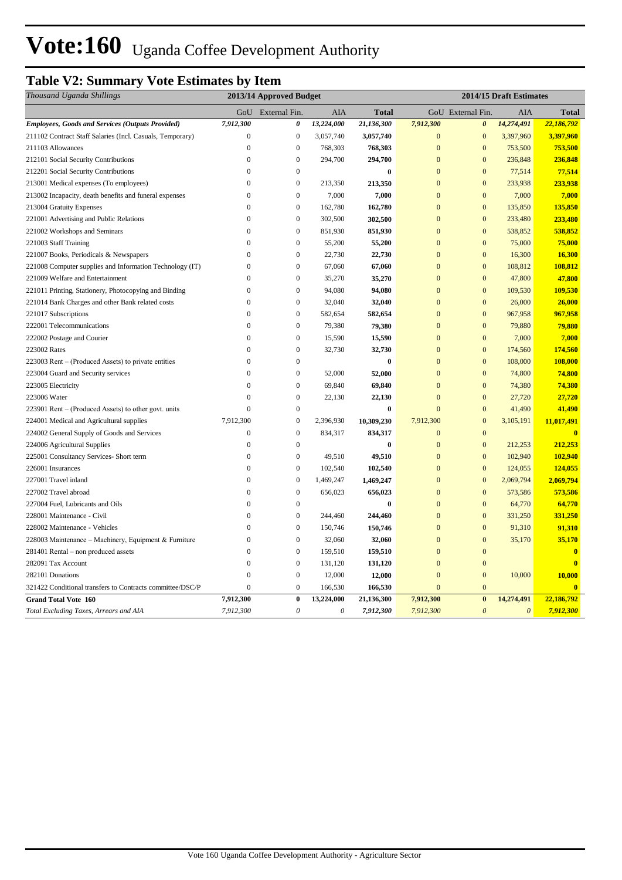# Vote:160 Uganda Coffee Development Authority

## **Table V2: Summary Vote Estimates by Item**

| Thousand Uganda Shillings                                 | 2013/14 Approved Budget |                       |                           |                  | 2014/15 Draft Estimates |                       |                       |                         |
|-----------------------------------------------------------|-------------------------|-----------------------|---------------------------|------------------|-------------------------|-----------------------|-----------------------|-------------------------|
|                                                           |                         | GoU External Fin.     | AIA                       | <b>Total</b>     |                         | GoU External Fin.     | AIA                   | <b>Total</b>            |
| <b>Employees, Goods and Services (Outputs Provided)</b>   | 7,912,300               | 0                     | 13,224,000                | 21,136,300       | 7,912,300               | $\boldsymbol{\theta}$ | 14,274,491            | 22,186,792              |
| 211102 Contract Staff Salaries (Incl. Casuals, Temporary) | $\boldsymbol{0}$        | $\boldsymbol{0}$      | 3,057,740                 | 3,057,740        | $\mathbf{0}$            | $\mathbf{0}$          | 3,397,960             | 3,397,960               |
| 211103 Allowances                                         | $\overline{0}$          | $\mathbf{0}$          | 768,303                   | 768,303          | $\mathbf{0}$            | $\overline{0}$        | 753,500               | 753,500                 |
| 212101 Social Security Contributions                      | $\mathbf{0}$            | $\boldsymbol{0}$      | 294,700                   | 294,700          | $\mathbf{0}$            | $\mathbf{0}$          | 236,848               | 236,848                 |
| 212201 Social Security Contributions                      | $\mathbf{0}$            | $\mathbf{0}$          |                           | $\bf{0}$         | $\overline{0}$          | $\overline{0}$        | 77,514                | 77,514                  |
| 213001 Medical expenses (To employees)                    | $\overline{0}$          | $\boldsymbol{0}$      | 213,350                   | 213,350          | $\overline{0}$          | $\overline{0}$        | 233,938               | 233,938                 |
| 213002 Incapacity, death benefits and funeral expenses    | $\mathbf{0}$            | $\mathbf{0}$          | 7,000                     | 7,000            | $\mathbf{0}$            | $\mathbf{0}$          | 7,000                 | 7,000                   |
| 213004 Gratuity Expenses                                  | $\boldsymbol{0}$        | $\boldsymbol{0}$      | 162,780                   | 162,780          | $\mathbf{0}$            | $\mathbf{0}$          | 135,850               | 135,850                 |
| 221001 Advertising and Public Relations                   | $\Omega$                | $\boldsymbol{0}$      | 302,500                   | 302,500          | $\mathbf{0}$            | $\mathbf{0}$          | 233,480               | 233,480                 |
| 221002 Workshops and Seminars                             | $\mathbf{0}$            | $\boldsymbol{0}$      | 851,930                   | 851,930          | $\mathbf{0}$            | $\mathbf{0}$          | 538,852               | 538,852                 |
| 221003 Staff Training                                     | $\boldsymbol{0}$        | $\boldsymbol{0}$      | 55,200                    | 55,200           | $\mathbf{0}$            | $\mathbf{0}$          | 75,000                | 75,000                  |
| 221007 Books, Periodicals & Newspapers                    | $\overline{0}$          | $\boldsymbol{0}$      | 22,730                    | 22,730           | $\mathbf{0}$            | $\mathbf{0}$          | 16,300                | 16,300                  |
| 221008 Computer supplies and Information Technology (IT)  | $\mathbf{0}$            | $\boldsymbol{0}$      | 67,060                    | 67,060           | $\mathbf{0}$            | $\mathbf{0}$          | 108,812               | 108,812                 |
| 221009 Welfare and Entertainment                          | $\mathbf{0}$            | $\boldsymbol{0}$      | 35,270                    | 35,270           | $\mathbf{0}$            | $\overline{0}$        | 47,800                | 47,800                  |
| 221011 Printing, Stationery, Photocopying and Binding     | $\mathbf{0}$            | $\boldsymbol{0}$      | 94,080                    | 94,080           | $\mathbf{0}$            | $\mathbf{0}$          | 109,530               | 109,530                 |
| 221014 Bank Charges and other Bank related costs          | $\mathbf{0}$            | $\boldsymbol{0}$      | 32,040                    | 32,040           | $\mathbf{0}$            | $\mathbf{0}$          | 26,000                | 26,000                  |
| 221017 Subscriptions                                      | $\boldsymbol{0}$        | $\boldsymbol{0}$      | 582,654                   | 582,654          | $\mathbf{0}$            | $\mathbf{0}$          | 967,958               | 967,958                 |
| 222001 Telecommunications                                 | $\theta$                | $\boldsymbol{0}$      | 79,380                    | 79,380           | $\overline{0}$          | $\overline{0}$        | 79,880                | 79,880                  |
| 222002 Postage and Courier                                | $\mathbf{0}$            | $\boldsymbol{0}$      | 15,590                    | 15,590           | $\mathbf{0}$            | $\mathbf{0}$          | 7,000                 | 7,000                   |
| 223002 Rates                                              | $\mathbf{0}$            | $\mathbf{0}$          | 32,730                    | 32,730           | $\overline{0}$          | $\overline{0}$        | 174,560               | 174,560                 |
| 223003 Rent – (Produced Assets) to private entities       | $\mathbf{0}$            | $\boldsymbol{0}$      |                           | $\boldsymbol{0}$ | $\mathbf{0}$            | $\mathbf{0}$          | 108,000               | 108,000                 |
| 223004 Guard and Security services                        | $\mathbf{0}$            | $\boldsymbol{0}$      | 52,000                    | 52,000           | $\mathbf{0}$            | $\mathbf{0}$          | 74,800                | 74,800                  |
| 223005 Electricity                                        | $\mathbf{0}$            | $\boldsymbol{0}$      | 69,840                    | 69,840           | $\mathbf{0}$            | $\mathbf{0}$          | 74,380                | 74,380                  |
| 223006 Water                                              | $\mathbf{0}$            | $\overline{0}$        | 22,130                    | 22,130           | $\overline{0}$          | $\overline{0}$        | 27,720                | 27,720                  |
| 223901 Rent – (Produced Assets) to other govt. units      | $\mathbf{0}$            | $\boldsymbol{0}$      |                           | $\bf{0}$         | $\mathbf{0}$            | $\mathbf{0}$          | 41,490                | 41,490                  |
| 224001 Medical and Agricultural supplies                  | 7,912,300               | $\boldsymbol{0}$      | 2,396,930                 | 10,309,230       | 7,912,300               | $\boldsymbol{0}$      | 3,105,191             | 11,017,491              |
| 224002 General Supply of Goods and Services               | $\boldsymbol{0}$        | $\boldsymbol{0}$      | 834,317                   | 834,317          | $\mathbf{0}$            | $\mathbf{0}$          |                       | $\overline{0}$          |
| 224006 Agricultural Supplies                              | $\mathbf{0}$            | $\boldsymbol{0}$      |                           | $\boldsymbol{0}$ | $\mathbf{0}$            | $\mathbf{0}$          | 212,253               | 212,253                 |
| 225001 Consultancy Services- Short term                   | $\overline{0}$          | $\boldsymbol{0}$      | 49,510                    | 49,510           | $\mathbf{0}$            | $\overline{0}$        | 102,940               | 102,940                 |
| 226001 Insurances                                         | $\boldsymbol{0}$        | $\boldsymbol{0}$      | 102,540                   | 102,540          | $\mathbf{0}$            | $\mathbf{0}$          | 124,055               | 124,055                 |
| 227001 Travel inland                                      | $\boldsymbol{0}$        | $\boldsymbol{0}$      | 1,469,247                 | 1,469,247        | $\mathbf{0}$            | $\mathbf{0}$          | 2,069,794             | 2,069,794               |
| 227002 Travel abroad                                      | $\boldsymbol{0}$        | $\boldsymbol{0}$      | 656,023                   | 656,023          | $\mathbf{0}$            | $\mathbf{0}$          | 573,586               | 573,586                 |
| 227004 Fuel, Lubricants and Oils                          | $\mathbf{0}$            | $\mathbf{0}$          |                           | $\boldsymbol{0}$ | $\overline{0}$          | $\overline{0}$        | 64,770                | 64,770                  |
| 228001 Maintenance - Civil                                | $\boldsymbol{0}$        | $\boldsymbol{0}$      | 244,460                   | 244,460          | $\mathbf{0}$            | $\mathbf{0}$          | 331,250               | 331,250                 |
| 228002 Maintenance - Vehicles                             | $\theta$                | $\boldsymbol{0}$      | 150,746                   | 150,746          | $\mathbf{0}$            | $\mathbf{0}$          | 91,310                | 91,310                  |
| 228003 Maintenance - Machinery, Equipment & Furniture     | $\overline{0}$          | $\boldsymbol{0}$      | 32,060                    | 32,060           | $\mathbf{0}$            | $\overline{0}$        | 35,170                | 35,170                  |
| 281401 Rental – non produced assets                       | $\overline{0}$          | $\boldsymbol{0}$      | 159,510                   | 159,510          | $\mathbf{0}$            | $\overline{0}$        |                       | $\overline{\mathbf{0}}$ |
| 282091 Tax Account                                        | $\overline{0}$          | $\boldsymbol{0}$      | 131,120                   | 131,120          | $\mathbf{0}$            | $\mathbf{0}$          |                       | $\mathbf{0}$            |
| 282101 Donations                                          | $\mathbf{0}$            | $\boldsymbol{0}$      | 12,000                    | 12,000           | $\overline{0}$          | $\overline{0}$        | 10,000                | 10,000                  |
| 321422 Conditional transfers to Contracts committee/DSC/P | $\mathbf{0}$            | $\boldsymbol{0}$      | 166,530                   | 166,530          | $\mathbf{0}$            | $\mathbf{0}$          |                       | $\overline{\mathbf{0}}$ |
| <b>Grand Total Vote 160</b>                               | 7,912,300               | $\bf{0}$              | 13,224,000                | 21,136,300       | 7,912,300               | $\bf{0}$              | 14,274,491            | 22,186,792              |
| Total Excluding Taxes, Arrears and AIA                    | 7,912,300               | $\boldsymbol{\theta}$ | $\boldsymbol{\mathit{0}}$ | 7,912,300        | 7,912,300               | $\boldsymbol{\theta}$ | $\boldsymbol{\theta}$ | 7,912,300               |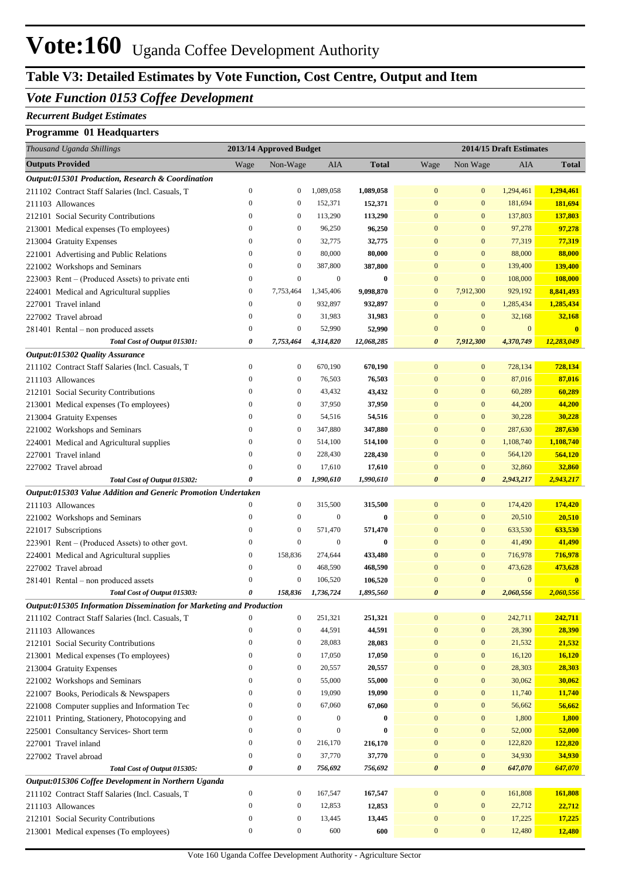# **Vote:160** Uganda Coffee Development Authority

## **Table V3: Detailed Estimates by Vote Function, Cost Centre, Output and Item**

### *Vote Function 0153 Coffee Development*

#### *Recurrent Budget Estimates*

#### **Programme 01 Headquarters**

| Thousand Uganda Shillings                                                                               |                                      | 2013/14 Approved Budget              |                   |                   |                                      | 2014/15 Draft Estimates |                   |                         |
|---------------------------------------------------------------------------------------------------------|--------------------------------------|--------------------------------------|-------------------|-------------------|--------------------------------------|-------------------------|-------------------|-------------------------|
| <b>Outputs Provided</b>                                                                                 | Wage                                 | Non-Wage                             | AIA               | <b>Total</b>      | Wage                                 | Non Wage                | AIA               | <b>Total</b>            |
| Output:015301 Production, Research & Coordination                                                       |                                      |                                      |                   |                   |                                      |                         |                   |                         |
| 211102 Contract Staff Salaries (Incl. Casuals, T                                                        | $\boldsymbol{0}$                     | $\bf{0}$                             | 1,089,058         | 1,089,058         | $\mathbf{0}$                         | $\mathbf{0}$            | 1,294,461         | 1,294,461               |
| 211103 Allowances                                                                                       | $\mathbf{0}$                         | $\boldsymbol{0}$                     | 152,371           | 152,371           | $\mathbf{0}$                         | $\mathbf{0}$            | 181,694           | 181,694                 |
| 212101 Social Security Contributions                                                                    | $\boldsymbol{0}$                     | $\boldsymbol{0}$                     | 113,290           | 113,290           | $\bf{0}$                             | $\mathbf{0}$            | 137,803           | 137,803                 |
| 213001 Medical expenses (To employees)                                                                  | $\boldsymbol{0}$                     | $\boldsymbol{0}$                     | 96,250            | 96,250            | $\mathbf{0}$                         | $\mathbf{0}$            | 97,278            | 97,278                  |
| 213004 Gratuity Expenses                                                                                | $\boldsymbol{0}$                     | $\boldsymbol{0}$                     | 32,775            | 32,775            | $\mathbf{0}$                         | $\mathbf{0}$            | 77,319            | 77,319                  |
| 221001 Advertising and Public Relations                                                                 | $\mathbf{0}$                         | $\boldsymbol{0}$                     | 80,000            | 80,000            | $\mathbf{0}$                         | $\mathbf{0}$            | 88,000            | 88,000                  |
| 221002 Workshops and Seminars                                                                           | $\boldsymbol{0}$                     | $\boldsymbol{0}$                     | 387,800           | 387,800           | $\mathbf{0}$                         | $\mathbf{0}$            | 139,400           | 139,400                 |
| 223003 Rent – (Produced Assets) to private enti                                                         | $\boldsymbol{0}$                     | $\boldsymbol{0}$                     | $\boldsymbol{0}$  | $\bf{0}$          | $\mathbf{0}$                         | $\mathbf{0}$            | 108,000           | 108,000                 |
| 224001 Medical and Agricultural supplies                                                                | $\boldsymbol{0}$                     | 7,753,464                            | 1,345,406         | 9,098,870         | $\boldsymbol{0}$                     | 7,912,300               | 929,192           | 8,841,493               |
| 227001 Travel inland                                                                                    | $\boldsymbol{0}$                     | $\boldsymbol{0}$                     | 932,897           | 932,897           | $\mathbf{0}$                         | $\bf{0}$                | 1,285,434         | 1,285,434               |
| 227002 Travel abroad                                                                                    | $\mathbf{0}$                         | $\boldsymbol{0}$                     | 31,983            | 31,983            | $\mathbf{0}$                         | $\boldsymbol{0}$        | 32,168            | 32,168                  |
| 281401 Rental – non produced assets                                                                     | $\boldsymbol{0}$                     | $\boldsymbol{0}$                     | 52,990            | 52,990            | $\mathbf{0}$                         | $\mathbf{0}$            | $\mathbf{0}$      | $\mathbf{0}$            |
| Total Cost of Output 015301:                                                                            | 0                                    | 7,753,464                            | 4,314,820         | 12,068,285        | $\boldsymbol{\theta}$                | 7,912,300               | 4,370,749         | 12,283,049              |
| Output:015302 Quality Assurance                                                                         |                                      |                                      |                   |                   |                                      |                         |                   |                         |
| 211102 Contract Staff Salaries (Incl. Casuals, T                                                        | $\boldsymbol{0}$                     | $\boldsymbol{0}$                     | 670,190           | 670,190           | $\mathbf{0}$                         | $\mathbf{0}$            | 728,134           | 728,134                 |
| 211103 Allowances                                                                                       | $\boldsymbol{0}$                     | $\boldsymbol{0}$                     | 76,503            | 76,503            | $\mathbf{0}$                         | $\mathbf{0}$            | 87,016            | 87,016                  |
| 212101 Social Security Contributions                                                                    | $\boldsymbol{0}$                     | $\boldsymbol{0}$                     | 43,432            | 43,432            | $\mathbf{0}$                         | $\mathbf{0}$            | 60,289            | 60,289                  |
| 213001 Medical expenses (To employees)                                                                  | $\boldsymbol{0}$                     | $\boldsymbol{0}$                     | 37,950            | 37,950            | $\mathbf{0}$                         | $\mathbf{0}$            | 44,200            | 44,200                  |
| 213004 Gratuity Expenses                                                                                | $\mathbf{0}$                         | $\boldsymbol{0}$                     | 54,516            | 54,516            | $\bf{0}$                             | $\mathbf{0}$            | 30,228            | 30,228                  |
| 221002 Workshops and Seminars                                                                           | $\boldsymbol{0}$                     | $\boldsymbol{0}$                     | 347,880           | 347,880           | $\bf{0}$                             | $\mathbf{0}$            | 287,630           | 287,630                 |
| 224001 Medical and Agricultural supplies                                                                | $\boldsymbol{0}$                     | $\boldsymbol{0}$                     | 514,100           | 514,100           | $\mathbf{0}$                         | $\bf{0}$                | 1,108,740         | 1,108,740               |
| 227001 Travel inland                                                                                    | $\boldsymbol{0}$                     | $\boldsymbol{0}$                     | 228,430           | 228,430           | $\mathbf{0}$                         | $\mathbf{0}$            | 564,120           | 564,120                 |
| 227002 Travel abroad                                                                                    | $\boldsymbol{0}$                     | $\boldsymbol{0}$                     | 17,610            | 17,610            | $\bf{0}$                             | $\mathbf{0}$            | 32,860            | 32,860                  |
| Total Cost of Output 015302:                                                                            | 0                                    | 0                                    | 1,990,610         | 1,990,610         | $\boldsymbol{\theta}$                | $\boldsymbol{\theta}$   | 2,943,217         | 2,943,217               |
| Output:015303 Value Addition and Generic Promotion Undertaken                                           |                                      |                                      |                   |                   |                                      |                         |                   |                         |
| 211103 Allowances                                                                                       | $\boldsymbol{0}$                     | $\boldsymbol{0}$                     | 315,500           | 315,500           | $\mathbf{0}$                         | $\mathbf{0}$            | 174,420           | 174,420                 |
| 221002 Workshops and Seminars                                                                           | $\boldsymbol{0}$                     | $\boldsymbol{0}$                     | $\boldsymbol{0}$  | $\bf{0}$          | $\mathbf{0}$                         | $\mathbf{0}$            | 20,510            | 20,510                  |
| 221017 Subscriptions                                                                                    | $\boldsymbol{0}$                     | $\boldsymbol{0}$                     | 571,470           | 571,470           | $\mathbf{0}$                         | $\mathbf{0}$            | 633,530           | 633,530                 |
| 223901 Rent – (Produced Assets) to other govt.                                                          | $\boldsymbol{0}$                     | $\boldsymbol{0}$                     | $\boldsymbol{0}$  | $\bf{0}$          | $\mathbf{0}$                         | $\bf{0}$                | 41,490            | 41,490                  |
| 224001 Medical and Agricultural supplies                                                                | $\boldsymbol{0}$                     | 158,836                              | 274,644           | 433,480           | $\mathbf{0}$                         | $\boldsymbol{0}$        | 716,978           | 716,978                 |
| 227002 Travel abroad                                                                                    | $\boldsymbol{0}$                     | $\boldsymbol{0}$                     | 468,590           | 468,590           | $\mathbf{0}$                         | $\boldsymbol{0}$        | 473,628           | 473,628                 |
| 281401 Rental - non produced assets                                                                     | $\theta$                             | $\boldsymbol{0}$                     | 106,520           | 106,520           | $\mathbf{0}$                         | $\boldsymbol{0}$        | $\boldsymbol{0}$  | $\overline{\mathbf{0}}$ |
| Total Cost of Output 015303:                                                                            | 0                                    | 158,836                              | 1,736,724         | 1,895,560         | $\boldsymbol{\theta}$                | $\boldsymbol{\theta}$   | 2,060,556         | 2,060,556               |
| Output:015305 Information Dissemination for Marketing and Production                                    |                                      |                                      |                   |                   |                                      |                         |                   |                         |
| 211102 Contract Staff Salaries (Incl. Casuals, T                                                        | $\boldsymbol{0}$                     | $\boldsymbol{0}$                     | 251,321           | 251,321           | $\boldsymbol{0}$                     | $\boldsymbol{0}$        | 242,711           | 242,711                 |
| 211103 Allowances                                                                                       | $\boldsymbol{0}$                     | $\boldsymbol{0}$                     | 44,591            | 44,591            | $\mathbf{0}$                         | $\boldsymbol{0}$        | 28,390            | 28,390                  |
| 212101 Social Security Contributions                                                                    | $\boldsymbol{0}$                     | $\boldsymbol{0}$                     | 28,083            | 28,083            | $\boldsymbol{0}$                     | $\boldsymbol{0}$        | 21,532            | 21,532                  |
| 213001 Medical expenses (To employees)                                                                  | $\boldsymbol{0}$                     | $\boldsymbol{0}$                     | 17,050            | 17,050            | $\boldsymbol{0}$                     | $\boldsymbol{0}$        | 16,120            | 16,120                  |
| 213004 Gratuity Expenses                                                                                | $\boldsymbol{0}$                     | $\boldsymbol{0}$                     | 20,557            | 20,557            | $\boldsymbol{0}$                     | $\boldsymbol{0}$        | 28,303            | 28,303                  |
| 221002 Workshops and Seminars                                                                           | $\boldsymbol{0}$                     | $\boldsymbol{0}$                     | 55,000            | 55,000            | $\boldsymbol{0}$                     | $\bf{0}$                | 30,062            | 30,062                  |
| 221007 Books, Periodicals & Newspapers                                                                  | $\boldsymbol{0}$                     | $\boldsymbol{0}$                     | 19,090            | 19,090            | $\boldsymbol{0}$                     | $\bf{0}$                | 11,740            | 11,740                  |
| 221008 Computer supplies and Information Tec                                                            | $\boldsymbol{0}$<br>$\boldsymbol{0}$ | $\boldsymbol{0}$<br>$\boldsymbol{0}$ | 67,060            | 67,060            | $\boldsymbol{0}$                     | $\bf{0}$                | 56,662            | 56,662                  |
| 221011 Printing, Stationery, Photocopying and                                                           |                                      |                                      | $\boldsymbol{0}$  | $\bf{0}$          | $\boldsymbol{0}$                     | $\bf{0}$                | 1,800             | 1,800                   |
| 225001 Consultancy Services- Short term                                                                 | $\boldsymbol{0}$<br>$\boldsymbol{0}$ | $\boldsymbol{0}$                     | $\boldsymbol{0}$  | $\bf{0}$          | $\boldsymbol{0}$<br>$\boldsymbol{0}$ | $\bf{0}$<br>$\bf{0}$    | 52,000            | 52,000                  |
| 227001 Travel inland                                                                                    | $\boldsymbol{0}$                     | $\boldsymbol{0}$<br>$\boldsymbol{0}$ | 216,170           | 216,170           | $\boldsymbol{0}$                     | $\bf{0}$                | 122,820<br>34,930 | 122,820                 |
| 227002 Travel abroad                                                                                    | $\pmb{\theta}$                       | 0                                    | 37,770<br>756,692 | 37,770<br>756,692 | $\pmb{\theta}$                       | $\boldsymbol{\theta}$   | 647,070           | 34,930<br>647,070       |
| Total Cost of Output 015305:                                                                            |                                      |                                      |                   |                   |                                      |                         |                   |                         |
| Output:015306 Coffee Development in Northern Uganda<br>211102 Contract Staff Salaries (Incl. Casuals, T | $\boldsymbol{0}$                     | $\boldsymbol{0}$                     | 167,547           | 167,547           | $\boldsymbol{0}$                     | $\bf{0}$                | 161,808           | 161,808                 |
| 211103 Allowances                                                                                       | $\boldsymbol{0}$                     | $\boldsymbol{0}$                     | 12,853            | 12,853            | $\boldsymbol{0}$                     | $\boldsymbol{0}$        | 22,712            | 22,712                  |
| 212101 Social Security Contributions                                                                    | $\boldsymbol{0}$                     | $\boldsymbol{0}$                     | 13,445            | 13,445            | $\boldsymbol{0}$                     | $\boldsymbol{0}$        | 17,225            | 17,225                  |
| 213001 Medical expenses (To employees)                                                                  | $\boldsymbol{0}$                     | $\boldsymbol{0}$                     | 600               | 600               | $\boldsymbol{0}$                     | $\mathbf{0}$            | 12,480            | 12,480                  |
|                                                                                                         |                                      |                                      |                   |                   |                                      |                         |                   |                         |